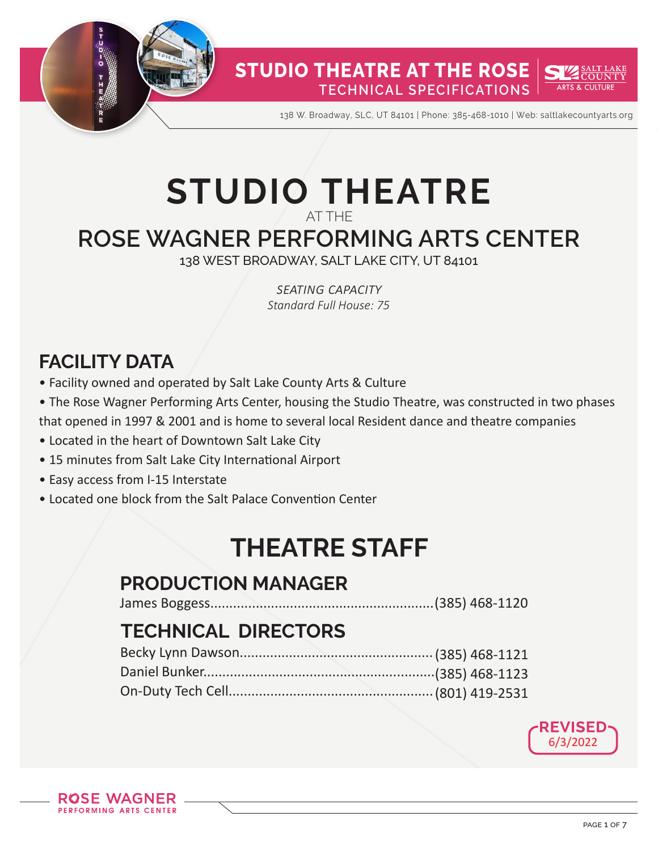

138 W. Broadway, SLC, UT 84101 | Phone: 385-468-1010 | Web: saltlakecountyarts.org

# **STUDIO THEATRE**

AT THE

## **ROSE WAGNER PERFORMING ARTS CENTER**

138 WEST BROADWAY, SALT LAKE CITY, UT 84101

*seating capacity Standard Full House: 75*

## **FACILITY DATA**

- Facility owned and operated by Salt Lake County Arts & Culture
- The Rose Wagner Performing Arts Center, housing the Studio Theatre, was constructed in two phases that opened in 1997 & 2001 and is home to several local Resident dance and theatre companies
- Located in the heart of Downtown Salt Lake City
- 15 minutes from Salt Lake City International Airport
- Easy access from I-15 Interstate
- Located one block from the Salt Palace Convention Center

## **THEATRE STAFF**

### **PRODUCTION MANAGER**

James Boggess...........................................................(385) 468-1120

### **TECHNICAL DIRECTORS**

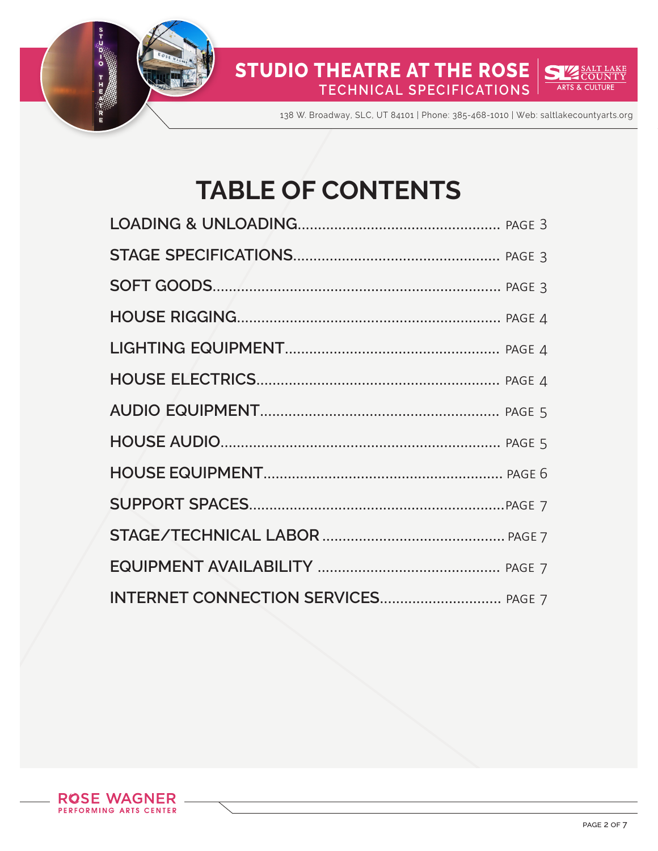

138 W. Broadway, SLC, UT 84101 | Phone: 385-468-1010 | Web: saltlakecountyarts.org

# **TABLE OF CONTENTS**

<u>SALT LAKE</u><br>COUNTY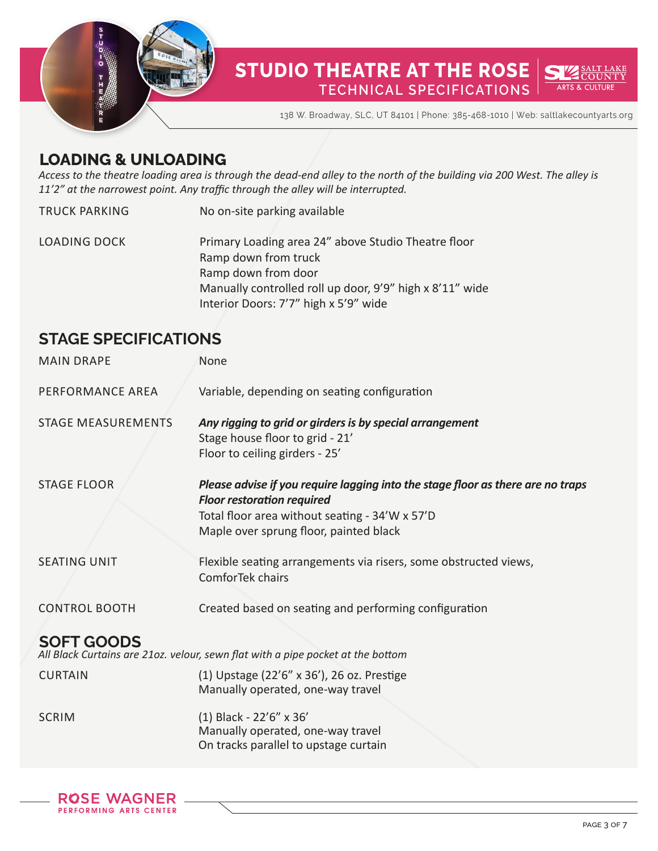

#### **STUDIO THEATRE AT THE ROSE** AKE **COUNTY TECHNICAL SPECIFICATIONS ARTS & CULTURE**

138 W. Broadway, SLC, UT 84101 | Phone: 385-468-1010 | Web: saltlakecountyarts.org

#### **LOADING & UNLOADING**

*Access to the theatre loading area is through the dead-end alley to the north of the building via 200 West. The alley is 11'2" at the narrowest point. Any traffic through the alley will be interrupted.*

| TRUCK PARKING       | No on-site parking available                                                |
|---------------------|-----------------------------------------------------------------------------|
| <b>LOADING DOCK</b> | Primary Loading area 24" above Studio Theatre floor<br>Ramp down from truck |
|                     | Ramp down from door                                                         |
|                     | Manually controlled roll up door, 9'9" high x 8'11" wide                    |
|                     | Interior Doors: 7'7" high x 5'9" wide                                       |

#### **STAGE SPECIFICATIONS**

| <b>MAIN DRAPE</b>         | None                                                                                                                                                                                                             |
|---------------------------|------------------------------------------------------------------------------------------------------------------------------------------------------------------------------------------------------------------|
| PERFORMANCE AREA          | Variable, depending on seating configuration                                                                                                                                                                     |
| <b>STAGE MEASUREMENTS</b> | Any rigging to grid or girders is by special arrangement<br>Stage house floor to grid - 21'<br>Floor to ceiling girders - 25'                                                                                    |
| <b>STAGE FLOOR</b>        | Please advise if you require lagging into the stage floor as there are no traps<br><b>Floor restoration required</b><br>Total floor area without seating - 34'W x 57'D<br>Maple over sprung floor, painted black |
| <b>SEATING UNIT</b>       | Flexible seating arrangements via risers, some obstructed views,<br>ComforTek chairs                                                                                                                             |
| <b>CONTROL BOOTH</b>      | Created based on seating and performing configuration                                                                                                                                                            |
| <b>SOFT GOODS</b>         | All Black Curtains are 21oz. velour, sewn flat with a pipe pocket at the bottom                                                                                                                                  |
| <b>CURTAIN</b>            | (1) Upstage (22'6" x 36'), 26 oz. Prestige<br>Manually operated, one-way travel                                                                                                                                  |
| <b>SCRIM</b>              | (1) Black - 22'6" x 36'<br>Manually operated, one-way travel<br>On tracks parallel to upstage curtain                                                                                                            |

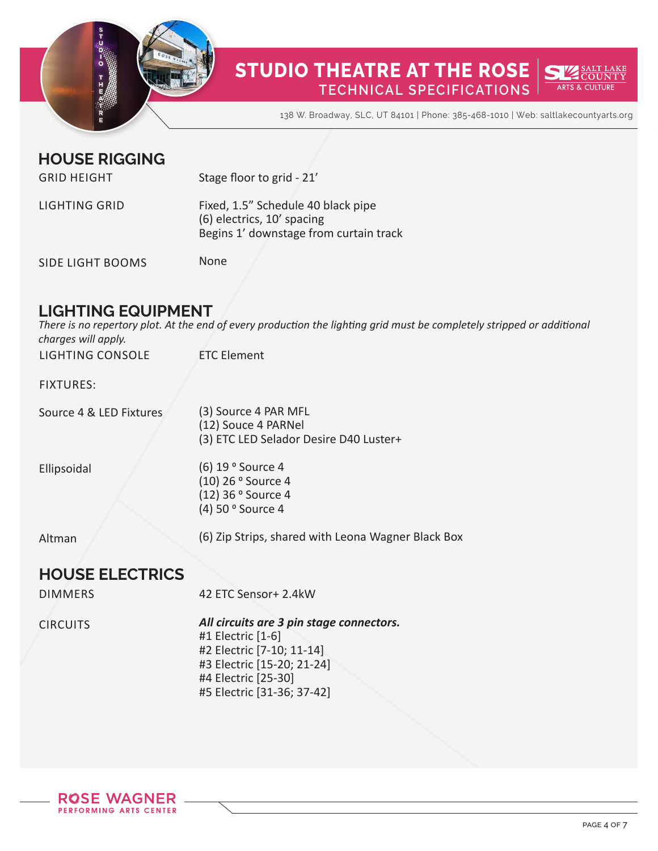

138 W. Broadway, SLC, UT 84101 | Phone: 385-468-1010 | Web: saltlakecountyarts.org

#### **HOUSE RIGGING**

| <b>GRID HEIGHT</b>   | Stage floor to grid - 21'                                                                                  |
|----------------------|------------------------------------------------------------------------------------------------------------|
| <b>LIGHTING GRID</b> | Fixed, 1.5" Schedule 40 black pipe<br>(6) electrics, 10' spacing<br>Begins 1' downstage from curtain track |
| SIDE LIGHT BOOMS     | None                                                                                                       |

SIDE LIGHT BOOMS

#### **LIGHTING EQUIPMENT**

LIGHTING CONSOLE ETC Element *There is no repertory plot. At the end of every production the lighting grid must be completely stripped or additional charges will apply.*

| <b>FIXTURES:</b>        |                                                                                       |
|-------------------------|---------------------------------------------------------------------------------------|
| Source 4 & LED Fixtures | (3) Source 4 PAR MFL<br>(12) Souce 4 PARNel<br>(3) ETC LED Selador Desire D40 Luster+ |
| Ellipsoidal             | (6) 19 ° Source 4<br>(10) 26 ° Source 4<br>(12) 36 ° Source 4<br>(4) 50 ° Source 4    |
| Altman                  | (6) Zip Strips, shared with Leona Wagner Black Box                                    |
| <b>HOUSE ELECTRICS</b>  |                                                                                       |
| <b>DIMMERS</b>          | 42 ETC Sensor+ 2.4kW                                                                  |
|                         | All circuits are 2 nin stage connectors                                               |

CIRCUITS *All circuits are 3 pin stage connectors.*  #1 Electric [1-6] #2 Electric [7-10; 11-14] #3 Electric [15-20; 21-24] #4 Electric [25-30] #5 Electric [31-36; 37-42]

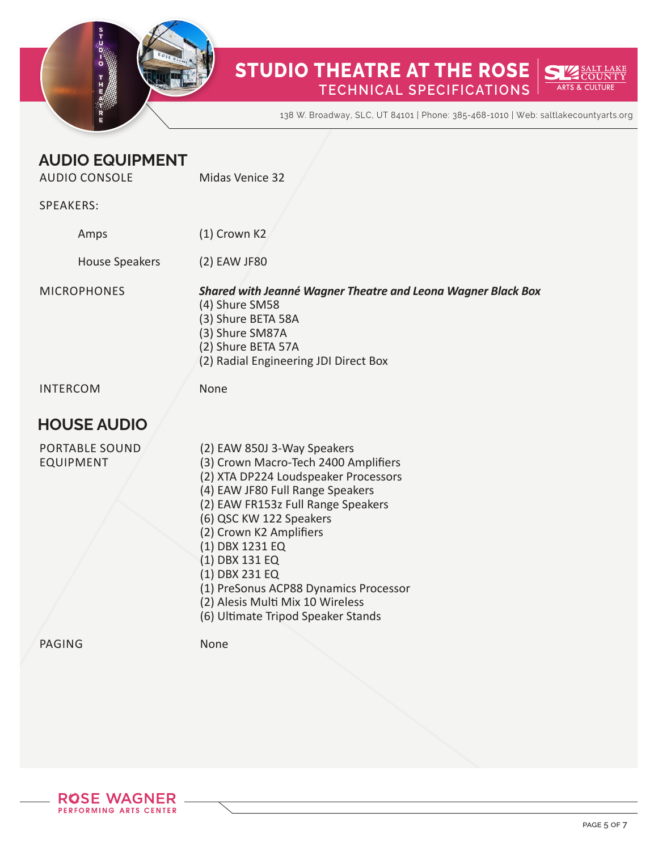

138 W. Broadway, SLC, UT 84101 | Phone: 385-468-1010 | Web: saltlakecountyarts.org

#### **AUDIO EQUIPMENT** AUDIO CONSOLE

Midas Venice 32

#### SPEAKERS:

| Amps           | $(1)$ Crown K2 |
|----------------|----------------|
| House Speakers | (2) EAW JF80   |

**MICROPHONES** 

*Shared with Jeanné Wagner Theatre and Leona Wagner Black Box* (4) Shure SM58 (3) Shure BETA 58A (3) Shure SM87A (2) Shure BETA 57A (2) Radial Engineering JDI Direct Box

INTERCOM

None

#### **HOUSE AUDIO**

| <b>PORTABLE SOUND</b> | (2) EAW 850J 3-Way Speakers           |
|-----------------------|---------------------------------------|
| <b>EQUIPMENT</b>      | (3) Crown Macro-Tech 2400 Amplifiers  |
|                       | (2) XTA DP224 Loudspeaker Processors  |
|                       | (4) EAW JF80 Full Range Speakers      |
|                       | (2) EAW FR153z Full Range Speakers    |
|                       | (6) QSC KW 122 Speakers               |
|                       | (2) Crown K2 Amplifiers               |
|                       | (1) DBX 1231 EQ                       |
|                       | (1) DBX 131 EQ                        |
|                       | (1) DBX 231 EQ                        |
|                       | (1) PreSonus ACP88 Dynamics Processor |
|                       | (2) Alesis Multi Mix 10 Wireless      |
|                       | (6) Ultimate Tripod Speaker Stands    |
|                       |                                       |

PAGING

None

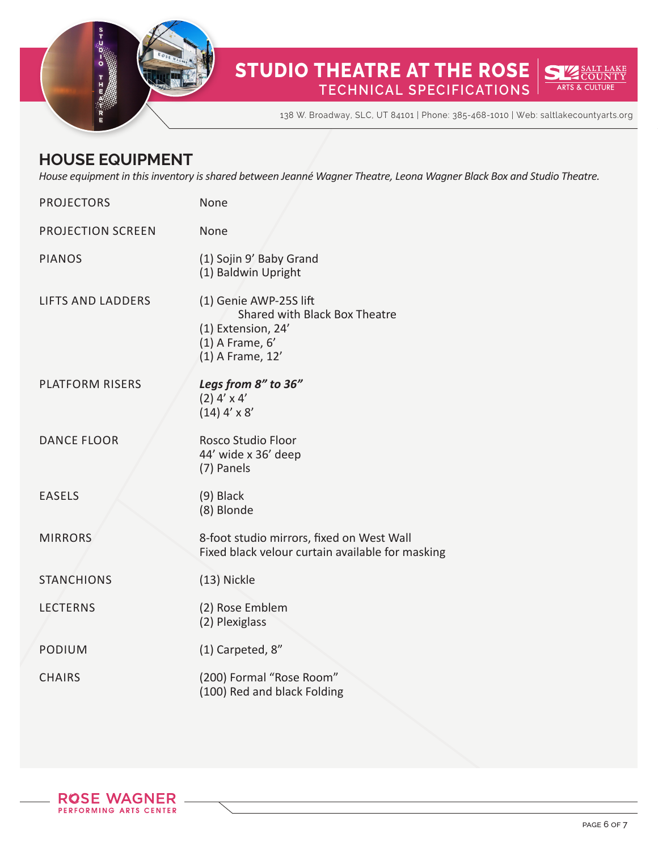

#### **STUDIO THEATRE AT THE ROSE** <u>SALT LAKE</u><br>COUNTY **ARTS & CULTURE TECHNICAL SPECIFICATIONS**

138 W. Broadway, SLC, UT 84101 | Phone: 385-468-1010 | Web: saltlakecountyarts.org

#### **HOUSE EQUIPMENT**

*House equipment in this inventory is shared between Jeanné Wagner Theatre, Leona Wagner Black Box and Studio Theatre.* 

| <b>PROJECTORS</b>        | None                                                                                                                     |
|--------------------------|--------------------------------------------------------------------------------------------------------------------------|
| <b>PROJECTION SCREEN</b> | None                                                                                                                     |
| <b>PIANOS</b>            | (1) Sojin 9' Baby Grand<br>(1) Baldwin Upright                                                                           |
| <b>LIFTS AND LADDERS</b> | (1) Genie AWP-25S lift<br>Shared with Black Box Theatre<br>(1) Extension, 24'<br>$(1)$ A Frame, $6'$<br>(1) A Frame, 12' |
| <b>PLATFORM RISERS</b>   | Legs from 8" to 36"<br>$(2)$ 4' x 4'<br>$(14)$ 4' x 8'                                                                   |
| <b>DANCE FLOOR</b>       | <b>Rosco Studio Floor</b><br>44' wide x 36' deep<br>(7) Panels                                                           |
| <b>EASELS</b>            | $(9)$ Black<br>(8) Blonde                                                                                                |
| <b>MIRRORS</b>           | 8-foot studio mirrors, fixed on West Wall<br>Fixed black velour curtain available for masking                            |
| <b>STANCHIONS</b>        | (13) Nickle                                                                                                              |
| <b>LECTERNS</b>          | (2) Rose Emblem<br>(2) Plexiglass                                                                                        |
| <b>PODIUM</b>            | (1) Carpeted, 8"                                                                                                         |
| <b>CHAIRS</b>            | (200) Formal "Rose Room"<br>(100) Red and black Folding                                                                  |